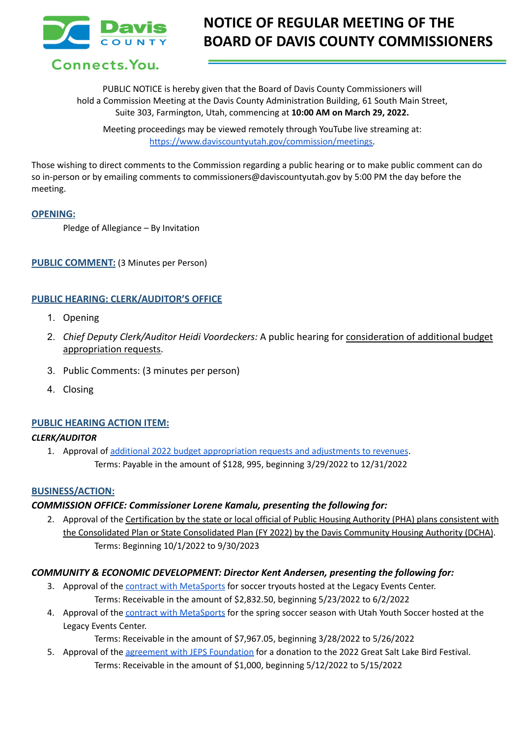

# **NOTICE OF REGULAR MEETING OF THE BOARD OF DAVIS COUNTY COMMISSIONERS**

Connects. You.

PUBLIC NOTICE is hereby given that the Board of Davis County Commissioners will hold a Commission Meeting at the Davis County Administration Building, 61 South Main Street, Suite 303, Farmington, Utah, commencing at **10:00 AM on March 29, 2022.**

Meeting proceedings may be viewed remotely through YouTube live streaming at: [https://www.daviscountyutah.gov/commission/meetings.](https://www.daviscountyutah.gov/commission/meetings)

Those wishing to direct comments to the Commission regarding a public hearing or to make public comment can do so in-person or by emailing comments to commissioners@daviscountyutah.gov by 5:00 PM the day before the meeting.

#### **OPENING:**

Pledge of Allegiance – By Invitation

## **PUBLIC COMMENT:** (3 Minutes per Person)

## **PUBLIC HEARING: CLERK/AUDITOR'S OFFICE**

- 1. Opening
- 2. *Chief Deputy Clerk/Auditor Heidi Voordeckers:* A public hearing for consideration of additional budget appropriation requests.
- 3. Public Comments: (3 minutes per person)
- 4. Closing

## **PUBLIC HEARING ACTION ITEM:**

## *CLERK/AUDITOR*

1. Approval of additional 2022 budget [appropriation](https://drive.google.com/file/d/1Y-14rV6usxujKxWro5WoSw3d91USmUoG/view?usp=sharing) requests and adjustments to revenues. Terms: Payable in the amount of \$128, 995, beginning 3/29/2022 to 12/31/2022

#### **BUSINESS/ACTION:**

## *COMMISSION OFFICE: Commissioner Lorene Kamalu, presenting the following for:*

2. Approval of the Certification by the state or local official of Public Housing Authority (PHA) plans consistent with the Consolidated Plan or State Consolidated Plan (FY 2022) by the Davis Community Housing Authority (DCHA). Terms: Beginning 10/1/2022 to 9/30/2023

## *COMMUNITY & ECONOMIC DEVELOPMENT: Director Kent Andersen, presenting the following for:*

- 3. Approval of the contract with [MetaSports](https://drive.google.com/file/d/1CuDZESfiHMWlLxt6H75fxVKb5u2zX0rp/view?usp=sharing) for soccer tryouts hosted at the Legacy Events Center. Terms: Receivable in the amount of \$2,832.50, beginning 5/23/2022 to 6/2/2022
- 4. Approval of the contract with [MetaSports](https://drive.google.com/file/d/1lMRt8shJQfPd80t83hcBnLohaCx9rc-l/view?usp=sharing) for the spring soccer season with Utah Youth Soccer hosted at the Legacy Events Center.

Terms: Receivable in the amount of \$7,967.05, beginning 3/28/2022 to 5/26/2022

5. Approval of the agreement with JEPS [Foundation](https://drive.google.com/file/d/1n0Tlp5iKr-FlcziGZz5_7voh3Zh96jya/view?usp=sharing) for a donation to the 2022 Great Salt Lake Bird Festival. Terms: Receivable in the amount of \$1,000, beginning 5/12/2022 to 5/15/2022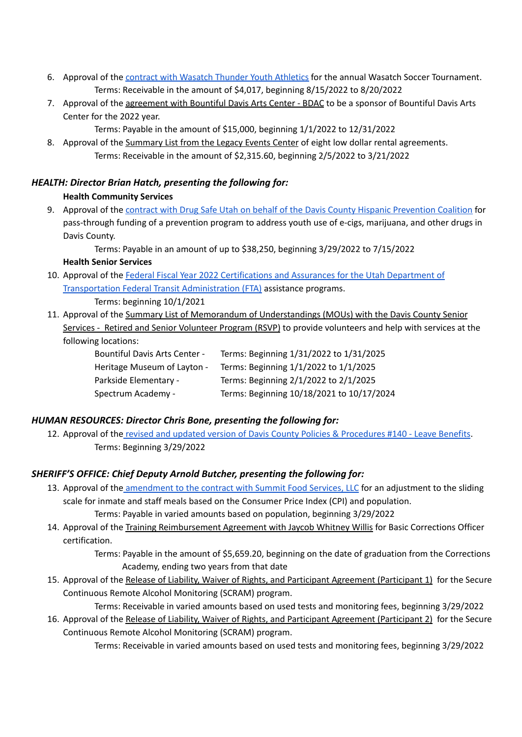- 6. Approval of the contract with Wasatch Thunder Youth [Athletics](https://drive.google.com/file/d/1FsM-Jw0j_gjpfOaKGnjNq1UdIeqY1IC-/view?usp=sharing) for the annual Wasatch Soccer Tournament. Terms: Receivable in the amount of \$4,017, beginning 8/15/2022 to 8/20/2022
- 7. Approval of the agreement with Bountiful Davis Arts Center BDAC to be a sponsor of Bountiful Davis Arts Center for the 2022 year.
	- Terms: Payable in the amount of \$15,000, beginning 1/1/2022 to 12/31/2022
- 8. Approval of the Summary List from the Legacy Events Center of eight low dollar rental agreements. Terms: Receivable in the amount of \$2,315.60, beginning 2/5/2022 to 3/21/2022

# *HEALTH: Director Brian Hatch, presenting the following for:*

# **Health Community Services**

9. Approval of the contract with Drug Safe Utah on behalf of the Davis County Hispanic [Prevention](https://drive.google.com/file/d/1wiNnAbuj4L1jRZ1Yjaf7cP8ysGPioqp1/view?usp=sharing) Coalition for pass-through funding of a prevention program to address youth use of e-cigs, marijuana, and other drugs in Davis County.

Terms: Payable in an amount of up to \$38,250, beginning 3/29/2022 to 7/15/2022

# **Health Senior Services**

- 10. Approval of the Federal Fiscal Year 2022 [Certifications](https://drive.google.com/file/d/1kbyHFGnbNOe6N3b2mbihSDqzSrXD9hyD/view?usp=sharing) and Assurances for the Utah Department of Transportation Federal Transit [Administration](https://drive.google.com/file/d/1kbyHFGnbNOe6N3b2mbihSDqzSrXD9hyD/view?usp=sharing) (FTA) assistance programs. Terms: beginning 10/1/2021
- 11. Approval of the Summary List of Memorandum of Understandings (MOUs) with the Davis County Senior
- Services Retired and Senior Volunteer Program (RSVP) to provide volunteers and help with services at the following locations:

| <b>Bountiful Davis Arts Center -</b> | Terms: Beginning 1/31/2022 to 1/31/2025   |
|--------------------------------------|-------------------------------------------|
| Heritage Museum of Layton -          | Terms: Beginning 1/1/2022 to 1/1/2025     |
| Parkside Elementary -                | Terms: Beginning 2/1/2022 to 2/1/2025     |
| Spectrum Academy -                   | Terms: Beginning 10/18/2021 to 10/17/2024 |

# *HUMAN RESOURCES: Director Chris Bone, presenting the following for:*

12. Approval of the revised and updated version of Davis County Policies & [Procedures](https://drive.google.com/file/d/1PFT7P3nPRs9XSJHGacyn2C0EuzV4c_sO/view?usp=sharing) #140 - Leave Benefits. Terms: Beginning 3/29/2022

# *SHERIFF'S OFFICE: Chief Deputy Arnold Butcher, presenting the following for:*

- 13. Approval of the [amendment](https://drive.google.com/file/d/1hmrFQuzPRV5vr7mGQNMPypSRMJD-RbKa/view?usp=sharing) to the contract with Summit Food Services, LLC for an adjustment to the sliding scale for inmate and staff meals based on the Consumer Price Index (CPI) and population.
- Terms: Payable in varied amounts based on population, beginning 3/29/2022 14. Approval of the Training Reimbursement Agreement with Jaycob Whitney Willis for Basic Corrections Officer certification.

Terms: Payable in the amount of \$5,659.20, beginning on the date of graduation from the Corrections Academy, ending two years from that date

15. Approval of the Release of Liability, Waiver of Rights, and Participant Agreement (Participant 1) for the Secure Continuous Remote Alcohol Monitoring (SCRAM) program.

Terms: Receivable in varied amounts based on used tests and monitoring fees, beginning 3/29/2022

16. Approval of the Release of Liability, Waiver of Rights, and Participant Agreement (Participant 2) for the Secure Continuous Remote Alcohol Monitoring (SCRAM) program.

Terms: Receivable in varied amounts based on used tests and monitoring fees, beginning 3/29/2022